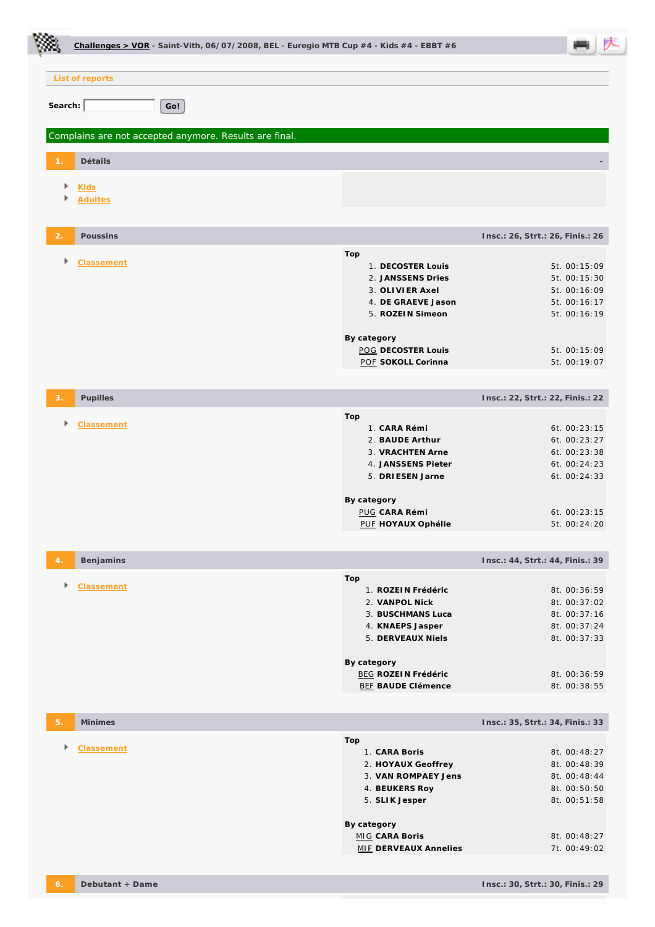|                |                               | Challenges > VOR - Saint-Vith, 06/07/2008, BEL - Euregio MTB Cup #4 - Kids #4 - EBBT #6                                                                                             |                                                                                                              |  |
|----------------|-------------------------------|-------------------------------------------------------------------------------------------------------------------------------------------------------------------------------------|--------------------------------------------------------------------------------------------------------------|--|
|                | List of reports               |                                                                                                                                                                                     |                                                                                                              |  |
| Search:        |                               | Go!                                                                                                                                                                                 |                                                                                                              |  |
|                |                               | Complains are not accepted anymore. Results are final.                                                                                                                              |                                                                                                              |  |
|                | Détails                       |                                                                                                                                                                                     |                                                                                                              |  |
| Þ<br>Þ         | <b>Kids</b><br><b>Adultes</b> |                                                                                                                                                                                     |                                                                                                              |  |
| $\overline{2}$ | Poussins                      | Insc.: 26, Strt.: 26, Finis.: 26                                                                                                                                                    |                                                                                                              |  |
| Þ              | Classement                    | Top<br>1. DECOSTER Louis<br>2. JANSSENS Dries<br>3. OLIVIER Axel<br>4. DE GRAEVE Jason<br>5. ROZEIN Simeon<br>By category<br>POG DECOSTER Louis<br>POF SOKOLL Corinna               | 5t. 00:15:09<br>5t. 00:15:30<br>5t. 00:16:09<br>5t. 00:16:17<br>5t. 00:16:19<br>5t. 00:15:09<br>5t. 00:19:07 |  |
| 3.             | Pupilles                      | Insc.: 22, Strt.: 22, Finis.: 22                                                                                                                                                    |                                                                                                              |  |
| Þ              | Classement                    | Top<br>1. CARA Rémi<br>2. BAUDE Arthur<br>3. VRACHTEN Arne<br>4. JANSSENS Pieter<br>5. DRIESEN Jarne<br>By category<br><b>PUG CARA Rémi</b><br>PUF HOYAUX Ophélie                   | 6t. 00:23:15<br>6t. 00:23:27<br>6t. 00:23:38<br>6t. 00:24:23<br>6t. 00:24:33<br>6t. 00:23:15<br>5t. 00:24:20 |  |
| 4.             | Benjamins                     | Insc.: 44, Strt.: 44, Finis.: 39                                                                                                                                                    |                                                                                                              |  |
| Þ              | Classement                    | Top<br>1. ROZEIN Frédéric<br>2. VANPOL Nick<br>3. BUSCHMANS Luca<br>4. KNAEPS Jasper<br>5. DERVEAUX Niels<br>By category<br><b>BEG ROZEIN Frédéric</b><br><b>BEF BAUDE Clémence</b> | 8t. 00:36:59<br>8t. 00:37:02<br>8t. 00:37:16<br>8t. 00:37:24<br>8t. 00:37:33<br>8t. 00:36:59<br>8t. 00:38:55 |  |
| 5.             | Minimes                       | Insc.: 35, Strt.: 34, Finis.: 33                                                                                                                                                    |                                                                                                              |  |
| Þ              | Classement                    | Top<br>1. CARA Boris<br>2. HOYAUX Geoffrey<br>3. VAN ROMPAEY Jens<br>4. BEUKERS Roy<br>5. SLIK Jesper<br>By category<br><b>MIG CARA Boris</b><br><b>MIF DERVEAUX Annelies</b>       | 8t. 00:48:27<br>8t. 00:48:39<br>8t. 00:48:44<br>8t. 00:50:50<br>8t. 00:51:58<br>8t. 00:48:27<br>7t. 00:49:02 |  |

٦